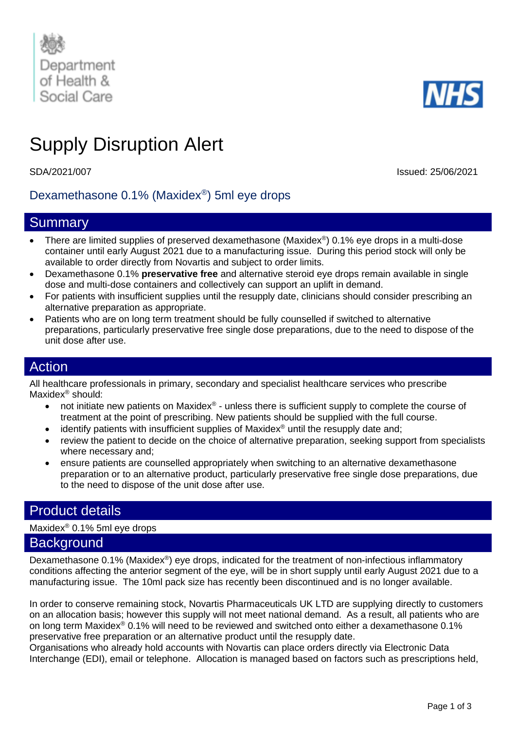



# Supply Disruption Alert

SDA/2021/007 Issued: 25/06/2021

# Dexamethasone 0.1% (Maxidex® ) 5ml eye drops

## **Summary**

- There are limited supplies of preserved dexamethasone (Maxidex<sup>®</sup>) 0.1% eye drops in a multi-dose container until early August 2021 due to a manufacturing issue. During this period stock will only be available to order directly from Novartis and subject to order limits.
- Dexamethasone 0.1% **preservative free** and alternative steroid eye drops remain available in single dose and multi-dose containers and collectively can support an uplift in demand.
- For patients with insufficient supplies until the resupply date, clinicians should consider prescribing an alternative preparation as appropriate.
- Patients who are on long term treatment should be fully counselled if switched to alternative preparations, particularly preservative free single dose preparations, due to the need to dispose of the unit dose after use.

## Action

All healthcare professionals in primary, secondary and specialist healthcare services who prescribe Maxidex® should:

- not initiate new patients on Maxidex® unless there is sufficient supply to complete the course of treatment at the point of prescribing. New patients should be supplied with the full course.
- identify patients with insufficient supplies of Maxidex<sup>®</sup> until the resupply date and;
- review the patient to decide on the choice of alternative preparation, seeking support from specialists where necessary and;
- ensure patients are counselled appropriately when switching to an alternative dexamethasone preparation or to an alternative product, particularly preservative free single dose preparations, due to the need to dispose of the unit dose after use.

# Product details

Maxidex® 0.1% 5ml eye drops

### **Background**

Dexamethasone 0.1% (Maxidex<sup>®</sup>) eye drops, indicated for the treatment of non-infectious inflammatory conditions affecting the anterior segment of the eye, will be in short supply until early August 2021 due to a manufacturing issue. The 10ml pack size has recently been discontinued and is no longer available.

In order to conserve remaining stock, Novartis Pharmaceuticals UK LTD are supplying directly to customers on an allocation basis; however this supply will not meet national demand. As a result, all patients who are on long term Maxidex® 0.1% will need to be reviewed and switched onto either a dexamethasone 0.1% preservative free preparation or an alternative product until the resupply date.

Organisations who already hold accounts with Novartis can place orders directly via Electronic Data Interchange (EDI), email or telephone. Allocation is managed based on factors such as prescriptions held,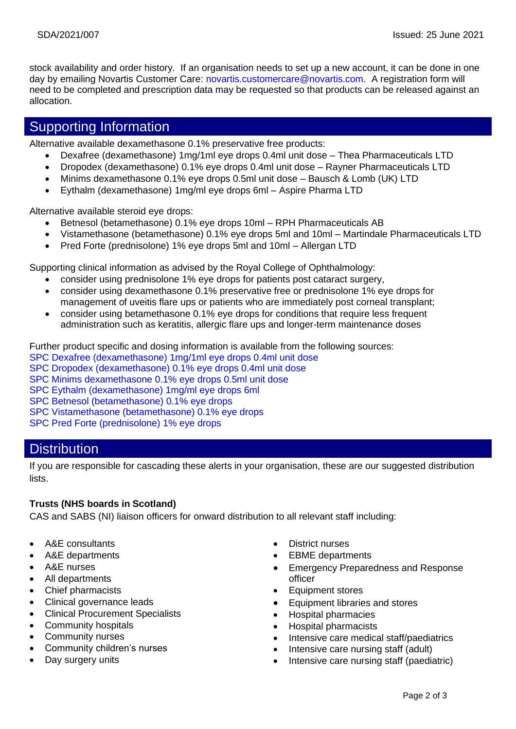stock availability and order history. If an organisation needs to set up a new account, it can be done in one day by emailing Novartis Customer Care: [novartis.customercare@novartis.com.](mailto:novartis.customercare@novartis.com) A registration form will need to be completed and prescription data may be requested so that products can be released against an allocation.

# Supporting Information

Alternative available dexamethasone 0.1% preservative free products:

- Dexafree (dexamethasone) 1mg/1ml eye drops 0.4ml unit dose Thea Pharmaceuticals LTD
- Dropodex (dexamethasone) 0.1% eye drops 0.4ml unit dose Rayner Pharmaceuticals LTD
- Minims dexamethasone 0.1% eye drops 0.5ml unit dose Bausch & Lomb (UK) LTD
- Eythalm (dexamethasone) 1mg/ml eye drops 6ml Aspire Pharma LTD

Alternative available steroid eye drops:

- Betnesol (betamethasone) 0.1% eye drops 10ml RPH Pharmaceuticals AB
- Vistamethasone (betamethasone) 0.1% eye drops 5ml and 10ml Martindale Pharmaceuticals LTD
- Pred Forte (prednisolone) 1% eye drops 5ml and 10ml Allergan LTD

Supporting clinical information as advised by the Royal College of Ophthalmology:

- consider using prednisolone 1% eye drops for patients post cataract surgery,
- consider using dexamethasone 0.1% preservative free or prednisolone 1% eye drops for management of uveitis flare ups or patients who are immediately post corneal transplant;
- consider using betamethasone 0.1% eve drops for conditions that require less frequent administration such as keratitis, allergic flare ups and longer-term maintenance doses

Further product specific and dosing information is available from the following sources:

- [SPC Dexafree \(dexamethasone\) 1mg/1ml eye drops 0.4ml unit dose](https://www.medicines.org.uk/emc/product/5343/smpc)
- [SPC Dropodex \(dexamethasone\) 0.1% eye drops 0.4ml unit dose](https://www.medicines.org.uk/emc/product/5132/smpc)

[SPC Minims dexamethasone 0.1% eye drops 0.5ml unit dose](https://www.medicines.org.uk/emc/product/3742/smpc)

[SPC Eythalm \(dexamethasone\) 1mg/ml eye drops 6ml](https://www.medicines.org.uk/emc/product/9227/smpc)

[SPC Betnesol \(betamethasone\) 0.1% eye drops](https://www.medicines.org.uk/emc/product/9172/smpc)

[SPC Vistamethasone \(betamethasone\) 0.1% eye drops](https://www.medicines.org.uk/emc/product/3395/smpc)

[SPC Pred Forte \(prednisolone\) 1% eye drops](https://www.medicines.org.uk/emc/product/1354/smpc)

# **Distribution**

If you are responsible for cascading these alerts in your organisation, these are our suggested distribution lists.

#### **Trusts (NHS boards in Scotland)**

CAS and SABS (NI) liaison officers for onward distribution to all relevant staff including:

- A&E consultants
- A&E departments
- A&E nurses
- All departments
- Chief pharmacists
- Clinical governance leads
- Clinical Procurement Specialists
- Community hospitals
- Community nurses
- Community children's nurses
- Day surgery units
- District nurses
- **EBME** departments
- Emergency Preparedness and Response officer
- Equipment stores
- Equipment libraries and stores
- Hospital pharmacies
- Hospital pharmacists
- Intensive care medical staff/paediatrics
- Intensive care nursing staff (adult)
- Intensive care nursing staff (paediatric)